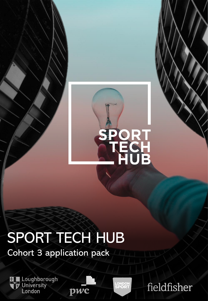

# SPORT TECH HUB

pwc

Cohort 3 application pack

Loughborough<br>University<br>London

**LONDON<br>SPORT** 

fieldfisher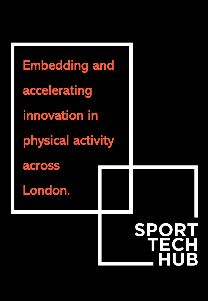Embedding and accelerating innovation in physical activity across London.**SPORT**  $\mathbf{B}$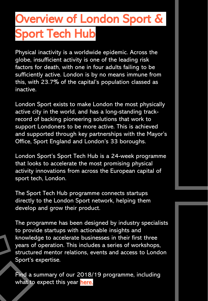## Overview of London Sport & Sport Tech Hub

Physical inactivity is a worldwide epidemic. Across the globe, insufficient activity is one of the leading risk factors for death, with one in four adults failing to be sufficiently active. London is by no means immune from this, with 23.7% of the capital's population classed as inactive.

London Sport exists to make London the most physically active city in the world, and has a long-standing trackrecord of backing pioneering solutions that work to support Londoners to be more active. This is achieved and supported through key partnerships with the Mayor's Office, Sport England and London's 33 boroughs.

London Sport's Sport Tech Hub is a 24-week programme that looks to accelerate the most promising physical activity innovations from across the European capital of sport tech, London.

The Sport Tech Hub programme connects startups directly to the London Sport network, helping them develop and grow their product.

The programme has been designed by industry specialists to provide startups with actionable insights and knowledge to accelerate businesses in their first three years of operation. This includes a series of workshops, structured mentor relations, events and access to London Sport's expertise.

Find a summary of our 2018/19 programme, including what to expect this year [here.](https://www.sporttechhub.co.uk/apply-2/)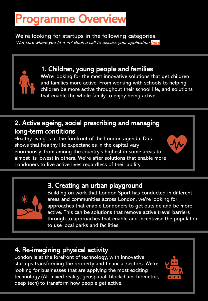## Programme Overview

We're looking for startups in the following categories. \*Not sure w[here](https://calendly.com/patrick-colbeck/15min) you fit it in? Book a call to discuss your application here

## 1. Children, young people and families

We're looking for the most innovative solutions that get children and families more active. From working with schools to helping children be more active throughout their school life, and solutions that enable the whole family to enjoy being active.

## 2. Active ageing, social prescribing and managing long-term conditions

Healthy living is at the forefront of the London agenda. Data shows that healthy life expectancies in the capital vary enormously, from among the country's highest in some areas to almost its lowest in others. We're after solutions that enable more Londoners to live active lives regardless of their ability.

### 3. Creating an urban playground

Building on work that London Sport has conducted in different areas and communities across London, we're looking for approaches that enable Londoners to get outside and be more active. This can be solutions that remove active travel barriers through to approaches that enable and incentivise the population to use local parks and facilities.

## 4. Re-imagining physical activity

London is at the forefront of technology, with innovative startups transforming the property and financial sectors. We're looking for businesses that are applying the most exciting technology (AI, mixed reality, geospatial, blockchain, biometric, deep tech) to transform how people get active.

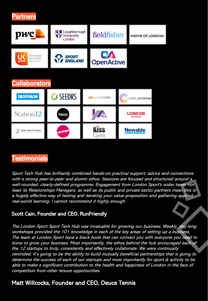



### **Testimonials**

Sport Tech Hub has brilliantly combined hands-on practical support, advice and connections with a strong peer-to-peer and alumni ethos. Sessions are focused and structured around a well-rounded, clearly-defined programme. Engagement from London Sport's wider team, not least its Relationships Managers, as well as its public and private sector partners mean this is a hugely effective way of testing and iterating your value proposition and gathering applied, real-world learning. I cannot recommend it highly enough.

#### Scott Cain, Founder and CEO, RunFriendly

The London Sport Sport Tech Hub was invaluable for growing our business. Weekly, day-long workshops provided the 101 knowledge in each of the key areas of setting up a business. The team at London Sport have a black book that can connect you with everyone you need to know to grow your business. Most importantly, the ethos behind the hub encouraged each of the 12 startups to truly, consistently and effectively collaborate. We were continually reminded. It's going to be the ability to build mutually beneficial partnerships that is going to determine the success of each of our startups and most importantly for sport & activity to be able to make a significant contribution to the health and happiness of London in the face of competition from other leisure opportunities.

### Matt Willcocks, Founder and CEO, Deuce Tennis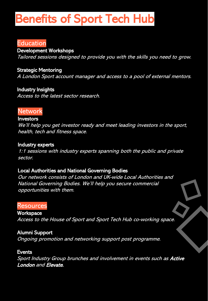## Benefits of Sport Tech Hub

### Education

Development Workshops

Tailored sessions designed to provide you with the skills you need to grow.

Strategic Mentoring A London Sport account manager and access to a pool of external mentors.

Industry Insights Access to the latest sector research.

#### **Network**

#### Investors

We'll help you get investor ready and meet leading investors in the sport, health, tech and fitness space.

#### Industry experts

1:1 sessions with industry experts spanning both the public and private sector.

#### Local Authorities and National Governing Bodies

Our network consists of London and UK-wide Local Authorities and National Governing Bodies. We'll help you secure commercial opportunities with them.

#### **Resources**

**Workspace** Access to the House of Sport and Sport Tech Hub co-working space.

Alumni Support Ongoing promotion and networking support post programme.

#### **Events**

Sport Industry Group brunches and involvement in events such as Active London and Elevate.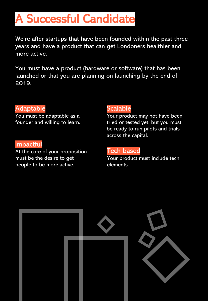## A Successful Candidate

We're after startups that have been founded within the past three years and have a product that can get Londoners healthier and more active.

You must have a product (hardware or software) that has been launched or that you are planning on launching by the end of 2019.

### Adaptable

You must be adaptable as a founder and willing to learn.

#### Impactful

At the core of your proposition must be the desire to get people to be more active.

## Scalable

Your product may not have been tried or tested yet, but you must be ready to run pilots and trials across the capital.

### Tech based

Your product must include tech elements.

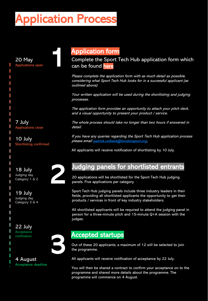## Application Process

1

20 May Applications open

T T T T I T T T 

7 July Applications close

10 July Shortlisting confirmed

18 July Judging day Category 1 & 2

19 July Judging day Category 3 & 4

22 July **Acceptance** notification

I



2

#### 4 August Acceptance deadline

## Application form

Complete the Sport Tech Hub application form which can be found [here](https://www.f6s.com/sporttechhubcohort3/apply)

Please complete the application form with as much detail as possible, considering what Sport Tech Hub looks for in a successful applicant (as outlined above).

Your written application will be used during the shortlisting and judging processes.

The application form provides an opportunity to attach your pitch deck, and a visual opportunity to present your product / service.

The whole process should take no longer than two hours if answered in detail.

If you have any queries regarding the Sport Tech Hub application process please email [patrick.colbeck@londonsport.org.](mailto:patrick.colbeck@londonsport.org)

All applicants will receive notification of shortlisting by 10 July.

## Judging panels for shortlisted entrants

20 applications will be shortlisted for the Sport Tech Hub judging panels. Five applications per category.

Sport Tech Hub judging panels include three industry leaders in their fields, providing all shortlisted applicants the opportunity to get their products / services in front of key industry stakeholders.

All shortlisted applicants will be required to attend the judging panel in person for a three-minute pitch and 15-minute Q+A session with the judges.

### Accepted startups

Out of these 20 applicants, a maximum of 12 will be selected to join the programme.

All applicants will receive notification of acceptance by 22 July.

You will then be shared a contract to confirm your acceptance on to the programme and shared more details about the programme. The programme will commence on 4 August.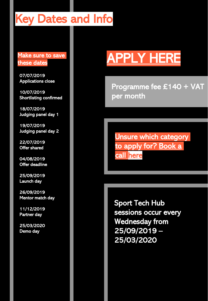## Key Dates and Info

#### Make sure to save these dates

07/07/2019 Applications close

10/07/2019 Shortlisting confirmed

18/07/2019 Judging panel day 1

19/07/2019 Judging panel day 2

22/07/2019 Offer shared

04/08/2019 Offer deadline

25/09/2019 Launch day

26/09/2019 Mentor match day

11/12/2019 Partner day

25/03/2020 Demo day

# [APPLY HERE](https://www.f6s.com/sporttechhubcohort3/apply)

Programme fee £140 + VAT per month

Unsure which category to apply for? Book a call here

Sport Tech Hub sessions occur every Wednesday from 25/09/2019 – 25/03/2020